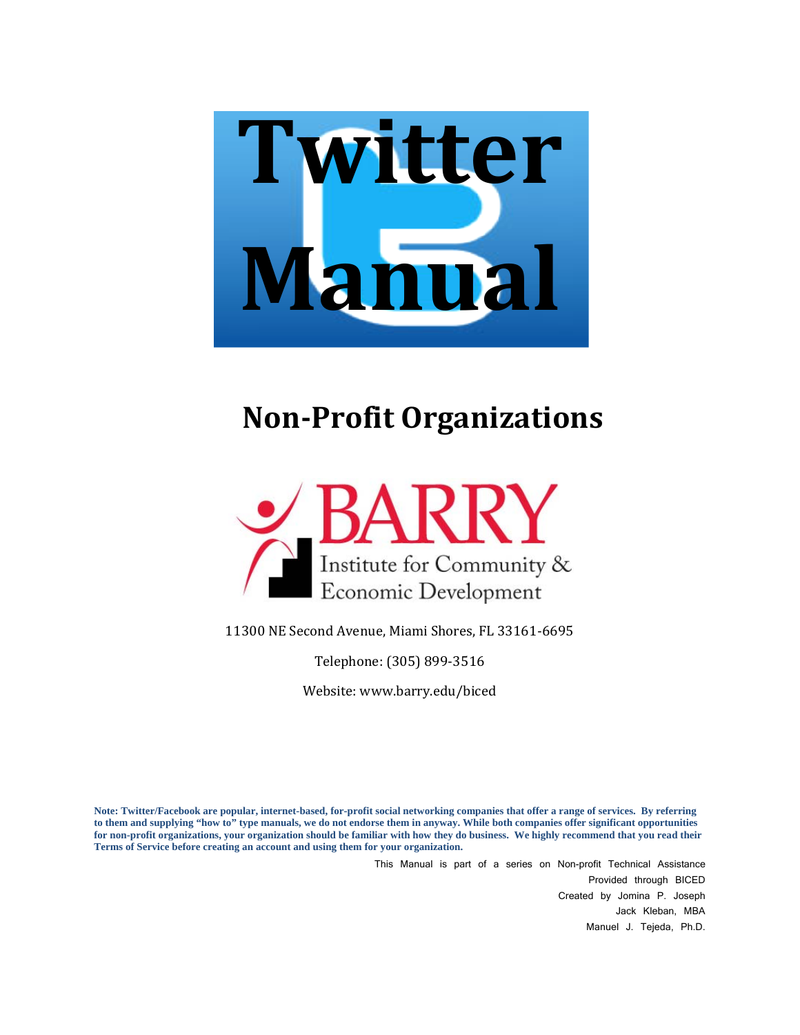

# **NonProfit Organizations**



11300 NE Second Avenue, Miami Shores, FL 33161‐6695

Telephone: (305) 899‐3516

Website: www.barry.edu/biced

**Note: Twitter/Facebook are popular, internet-based, for-profit social networking companies that offer a range of services. By referring to them and supplying "how to" type manuals, we do not endorse them in anyway. While both companies offer significant opportunities for non-profit organizations, your organization should be familiar with how they do business. We highly recommend that you read their Terms of Service before creating an account and using them for your organization.** 

> This Manual is part of a series on Non-profit Technical Assistance Provided through BICED Created by Jomina P. Joseph Jack Kleban, MBA Manuel J. Tejeda, Ph.D.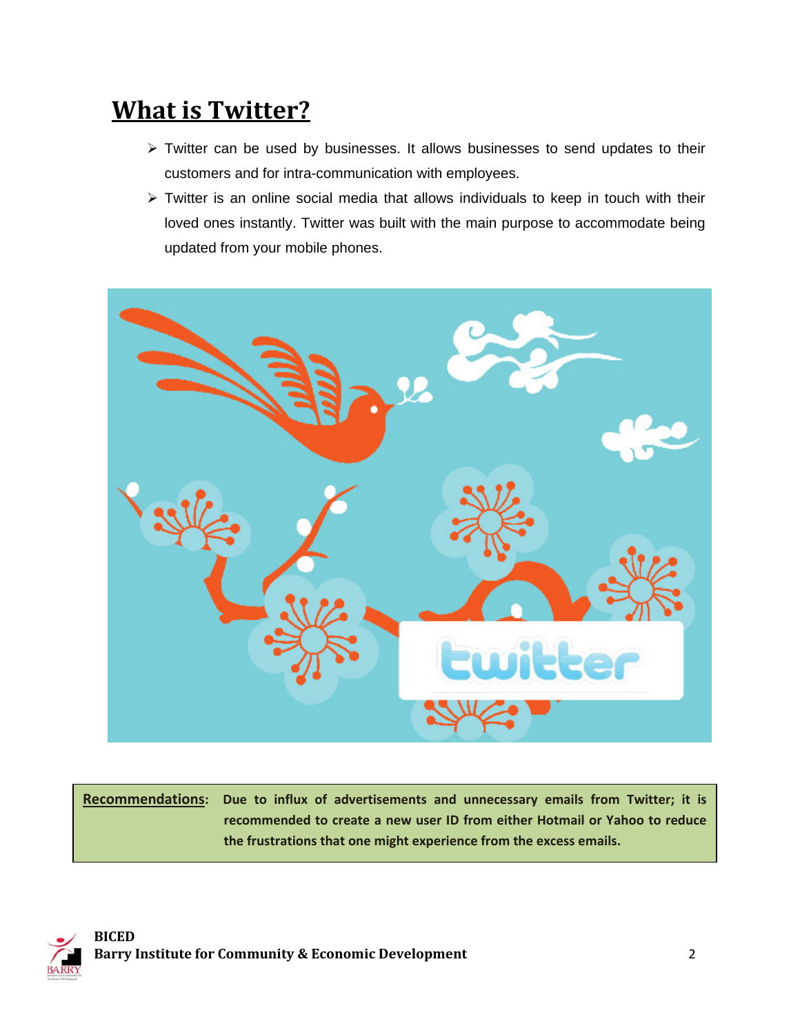### **What is Twitter?**

- $\triangleright$  Twitter can be used by businesses. It allows businesses to send updates to their customers and for intra-communication with employees.
- $\triangleright$  Twitter is an online social media that allows individuals to keep in touch with their loved ones instantly. Twitter was built with the main purpose to accommodate being updated from your mobile phones.



**Recommendations: Due to influx of advertisements and unnecessary emails from Twitter; it is recommended to create a new user ID from either Hotmail or Yahoo to reduce the frustrations that one might experience from the excess emails.** 

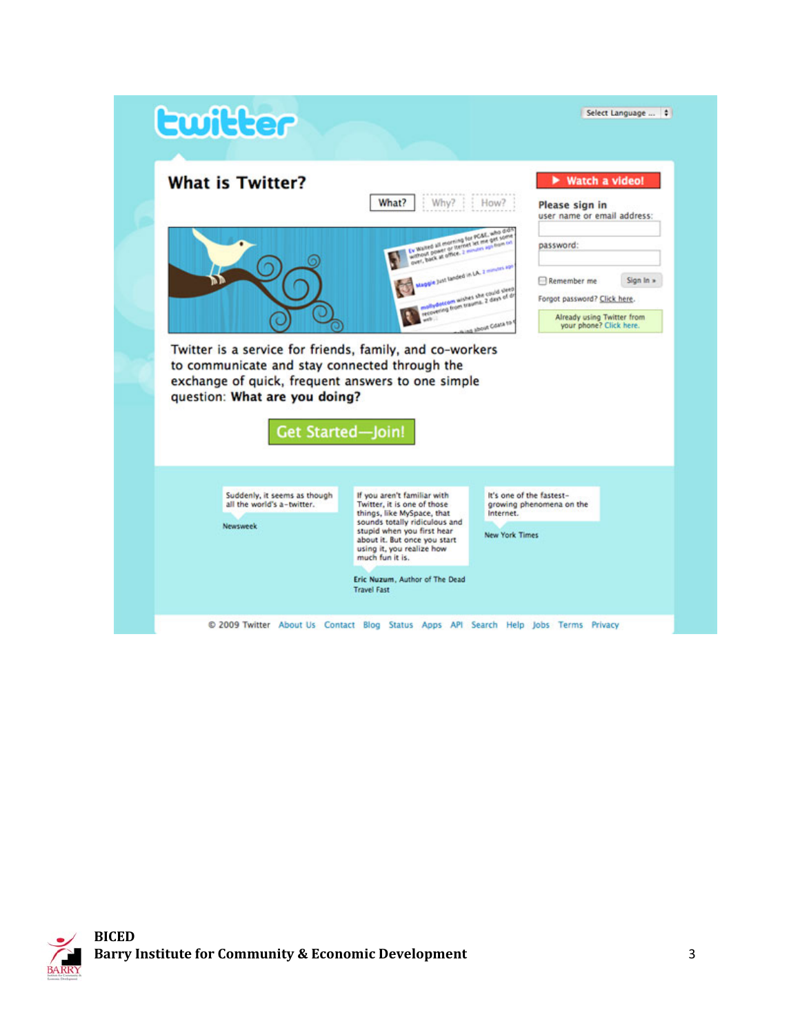# **Ewitter**



Select Language ... | |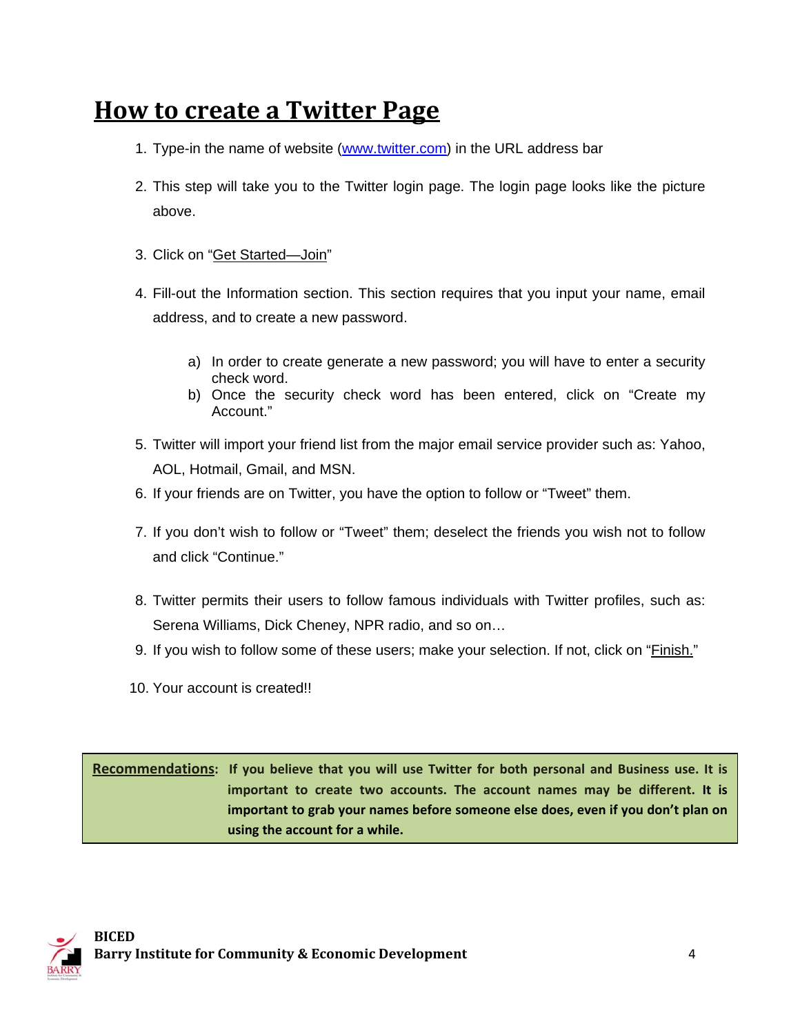### **How to create a Twitter Page**

- 1. Type-in the name of website (www.twitter.com) in the URL address bar
- 2. This step will take you to the Twitter login page. The login page looks like the picture above.
- 3. Click on "Get Started—Join"
- 4. Fill-out the Information section. This section requires that you input your name, email address, and to create a new password.
	- a) In order to create generate a new password; you will have to enter a security check word.
	- b) Once the security check word has been entered, click on "Create my Account."
- 5. Twitter will import your friend list from the major email service provider such as: Yahoo, AOL, Hotmail, Gmail, and MSN.
- 6. If your friends are on Twitter, you have the option to follow or "Tweet" them.
- 7. If you don't wish to follow or "Tweet" them; deselect the friends you wish not to follow and click "Continue."
- 8. Twitter permits their users to follow famous individuals with Twitter profiles, such as: Serena Williams, Dick Cheney, NPR radio, and so on…
- 9. If you wish to follow some of these users; make your selection. If not, click on "Finish."
- 10. Your account is created!!

Recommendations: If you believe that you will use Twitter for both personal and Business use. It is **important to create two accounts. The account names may be different. It is important to grab your names before someone else does, even if you don't plan on using the account for a while.**

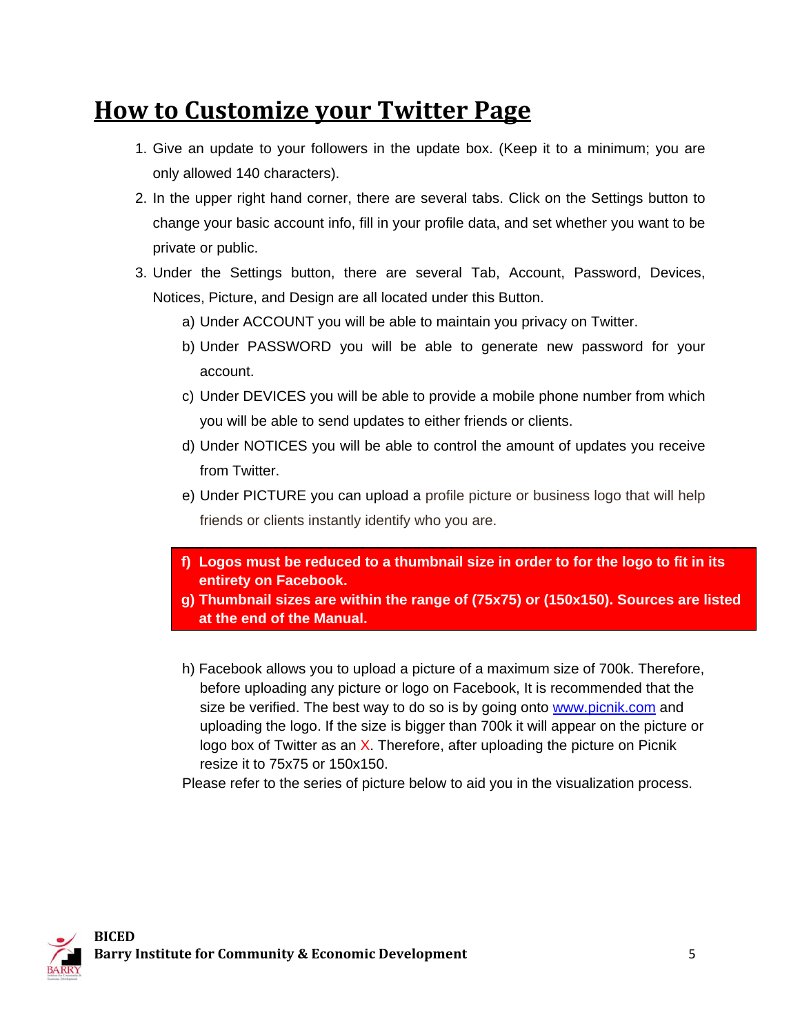### **How to Customize your Twitter Page**

- 1. Give an update to your followers in the update box. (Keep it to a minimum; you are only allowed 140 characters).
- 2. In the upper right hand corner, there are several tabs. Click on the Settings button to change your basic account info, fill in your profile data, and set whether you want to be private or public.
- 3. Under the Settings button, there are several Tab, Account, Password, Devices, Notices, Picture, and Design are all located under this Button.
	- a) Under ACCOUNT you will be able to maintain you privacy on Twitter.
	- b) Under PASSWORD you will be able to generate new password for your account.
	- c) Under DEVICES you will be able to provide a mobile phone number from which you will be able to send updates to either friends or clients.
	- d) Under NOTICES you will be able to control the amount of updates you receive from Twitter.
	- e) Under PICTURE you can upload a profile picture or business logo that will help friends or clients instantly identify who you are.
	- **f) Logos must be reduced to a thumbnail size in order to for the logo to fit in its entirety on Facebook.**
	- **g) Thumbnail sizes are within the range of (75x75) or (150x150). Sources are listed at the end of the Manual.**
	- h) Facebook allows you to upload a picture of a maximum size of 700k. Therefore, before uploading any picture or logo on Facebook, It is recommended that the size be verified. The best way to do so is by going onto www.picnik.com and uploading the logo. If the size is bigger than 700k it will appear on the picture or logo box of Twitter as an X. Therefore, after uploading the picture on Picnik resize it to 75x75 or 150x150.

Please refer to the series of picture below to aid you in the visualization process.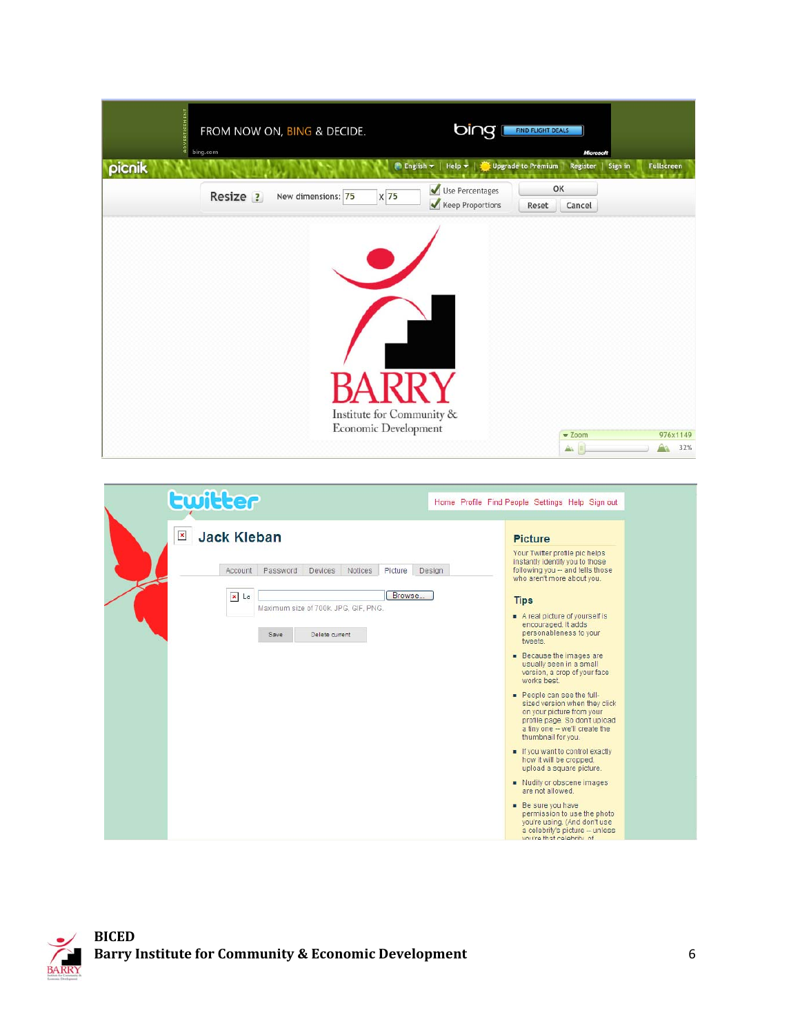| <b>ADVERTISEMENT</b> | bing.com | FROM NOW ON, BING & DECIDE. |                                                   | bing                                                                                                  | <b>FIND FLIGHT DEALS</b> | Microsoft                       |                 |
|----------------------|----------|-----------------------------|---------------------------------------------------|-------------------------------------------------------------------------------------------------------|--------------------------|---------------------------------|-----------------|
| picnik               |          |                             |                                                   | English $\blacktriangleright$   Help $\blacktriangleright$   $\blacktriangleright$ Upgrade to Premium |                          | Register<br>Sign in             | Fullscreen      |
|                      | Resize ? | New dimensions: 75          | $x\overline{75}$                                  | Use Percentages<br>Keep Proportions                                                                   | OK<br>Reset              | Cancel                          |                 |
|                      |          |                             | Institute for Community &<br>Economic Development |                                                                                                       |                          | $\blacktriangledown$ Zoom<br>Àì | 976x1149<br>32% |

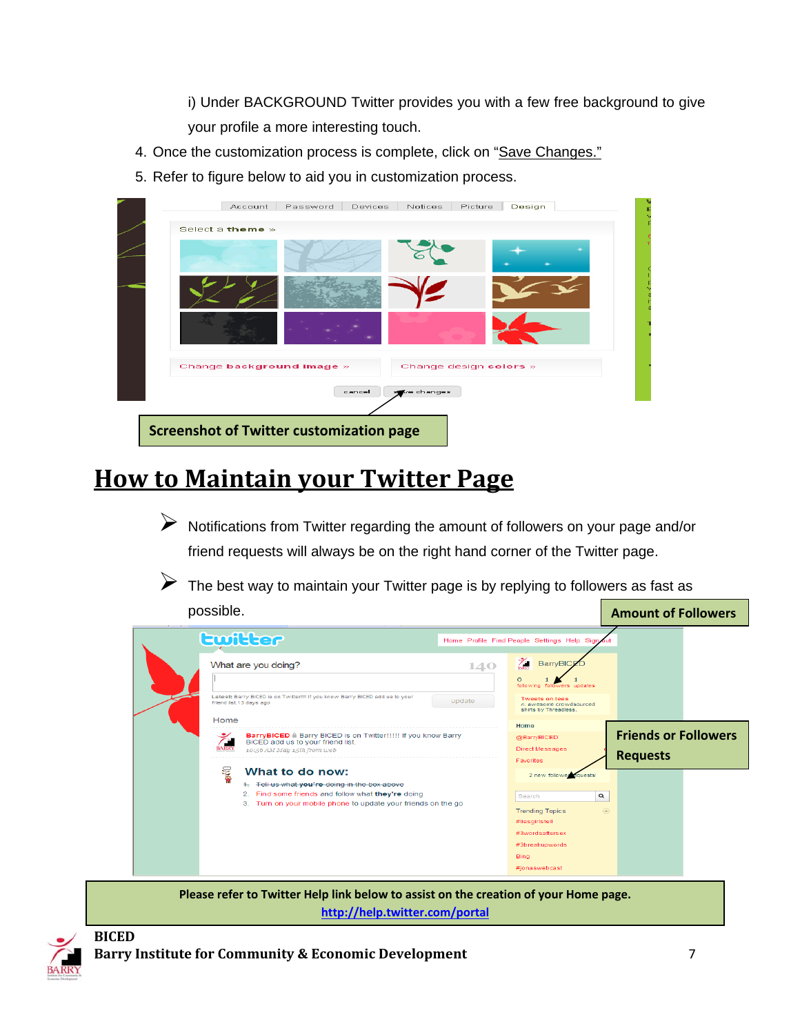i) Under BACKGROUND Twitter provides you with a few free background to give your profile a more interesting touch.

- 4. Once the customization process is complete, click on "Save Changes."
- 5. Refer to figure below to aid you in customization process.

| Select a theme » |                           |        |                        |  |
|------------------|---------------------------|--------|------------------------|--|
|                  |                           |        |                        |  |
|                  |                           |        |                        |  |
|                  |                           |        |                        |  |
|                  | Change background image » |        | Change design colors » |  |
|                  |                           | cancel | we changes             |  |

### **How to Maintain your Twitter Page**

¾ Notifications from Twitter regarding the amount of followers on your page and/or friend requests will always be on the right hand corner of the Twitter page.

 $\triangleright$  The best way to maintain your Twitter page is by replying to followers as fast as

| possible. | <b>Amount of Followers</b>                                                                                                                 |                                                                                            |                                                |
|-----------|--------------------------------------------------------------------------------------------------------------------------------------------|--------------------------------------------------------------------------------------------|------------------------------------------------|
|           | Ewitter                                                                                                                                    | Home Profile Find People Settings Help Sign                                                |                                                |
|           | What are you doing?<br>140                                                                                                                 | BarryBICE                                                                                  |                                                |
|           | Latest: Barry BICED is on Twitter!!!! If you know Barry BICED add us to your<br>update<br>friend list.13 days ago                          | $\circ$<br>following followers updates<br><b>Tweets on tees</b><br>n. awesome crowdsourced |                                                |
|           | Home                                                                                                                                       | shirts by Threadless.<br>Home                                                              |                                                |
|           | BarryBICED ii Barry BICED is on Twitter!!!!! If you know Barry<br>BICED add us to your friend list.<br>BARR'<br>10:56 AM May 15th from web | @BarryBICED<br><b>Direct Messages</b><br>Favorites                                         | <b>Friends or Followers</b><br><b>Requests</b> |
|           | ≨<br>What to do now:<br>4. Tell us what you're doing in the box above                                                                      | 2 new follower equests!                                                                    |                                                |
|           | 2. Find some friends and follow what they're doing<br>3. Turn on your mobile phone to update your friends on the go                        | $\alpha$<br>Search<br><b>Trending Topics</b>                                               | $\circledcirc$                                 |
|           |                                                                                                                                            | #liesgirlstell<br>#3wordsaftersex                                                          |                                                |
|           |                                                                                                                                            | #3breakupwords<br>Bing                                                                     |                                                |
|           |                                                                                                                                            | #jonaswebcast                                                                              |                                                |

**Please refer to Twitter Help link below to assist on the creation of your Home page. http://help.twitter.com/portal**

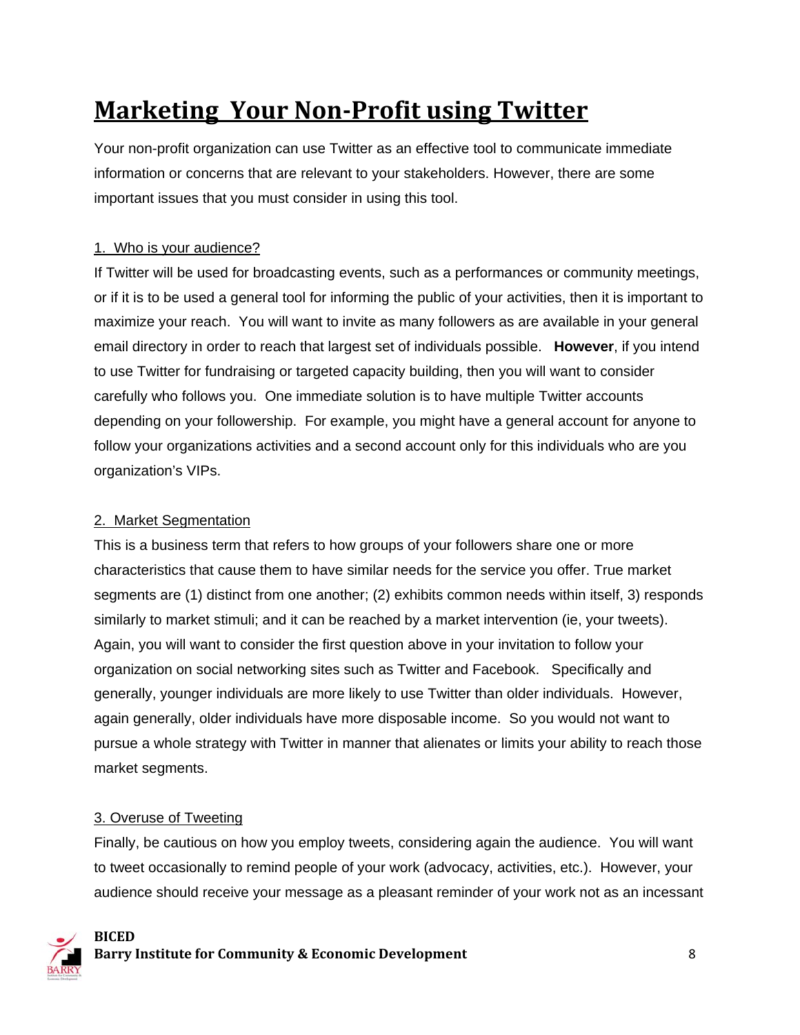## **Marketing Your NonProfit using Twitter**

Your non-profit organization can use Twitter as an effective tool to communicate immediate information or concerns that are relevant to your stakeholders. However, there are some important issues that you must consider in using this tool.

#### 1. Who is your audience?

If Twitter will be used for broadcasting events, such as a performances or community meetings, or if it is to be used a general tool for informing the public of your activities, then it is important to maximize your reach. You will want to invite as many followers as are available in your general email directory in order to reach that largest set of individuals possible. **However**, if you intend to use Twitter for fundraising or targeted capacity building, then you will want to consider carefully who follows you. One immediate solution is to have multiple Twitter accounts depending on your followership. For example, you might have a general account for anyone to follow your organizations activities and a second account only for this individuals who are you organization's VIPs.

#### 2. Market Segmentation

This is a business term that refers to how groups of your followers share one or more characteristics that cause them to have similar needs for the service you offer. True market segments are (1) distinct from one another; (2) exhibits common needs within itself, 3) responds similarly to market stimuli; and it can be reached by a market intervention (ie, your tweets). Again, you will want to consider the first question above in your invitation to follow your organization on social networking sites such as Twitter and Facebook. Specifically and generally, younger individuals are more likely to use Twitter than older individuals. However, again generally, older individuals have more disposable income. So you would not want to pursue a whole strategy with Twitter in manner that alienates or limits your ability to reach those market segments.

#### 3. Overuse of Tweeting

Finally, be cautious on how you employ tweets, considering again the audience. You will want to tweet occasionally to remind people of your work (advocacy, activities, etc.). However, your audience should receive your message as a pleasant reminder of your work not as an incessant